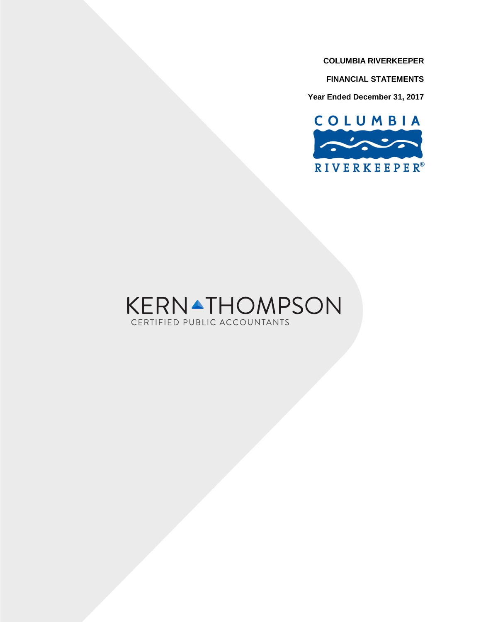**FINANCIAL STATEMENTS**

**Year Ended December 31, 2017**



# **KERNATHOMPSON** CERTIFIED PUBLIC ACCOUNTANTS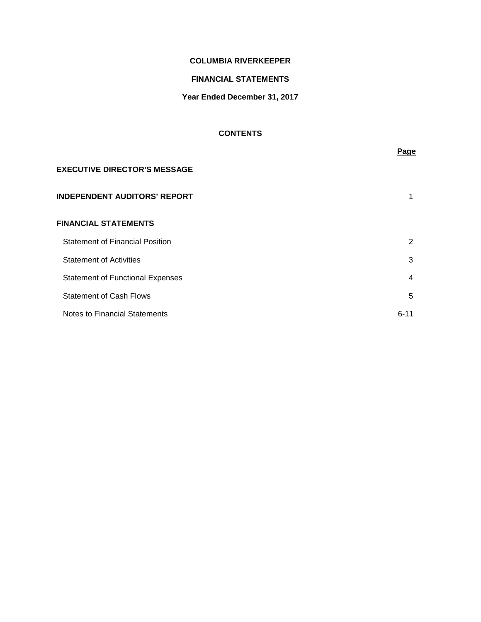# **FINANCIAL STATEMENTS**

# **Year Ended December 31, 2017**

# **CONTENTS**

|                                         | <b>Page</b> |
|-----------------------------------------|-------------|
| <b>EXECUTIVE DIRECTOR'S MESSAGE</b>     |             |
| <b>INDEPENDENT AUDITORS' REPORT</b>     | 1           |
| <b>FINANCIAL STATEMENTS</b>             |             |
| <b>Statement of Financial Position</b>  | 2           |
| <b>Statement of Activities</b>          | 3           |
| <b>Statement of Functional Expenses</b> | 4           |
| <b>Statement of Cash Flows</b>          | 5           |
| <b>Notes to Financial Statements</b>    | $6 - 11$    |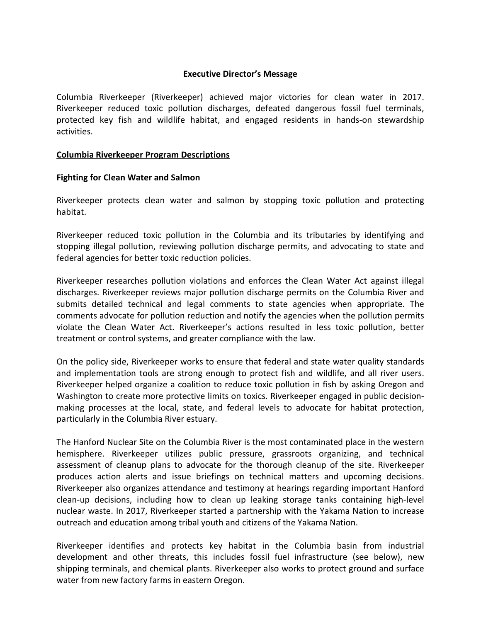# **Executive Director's Message**

Columbia Riverkeeper (Riverkeeper) achieved major victories for clean water in 2017. Riverkeeper reduced toxic pollution discharges, defeated dangerous fossil fuel terminals, protected key fish and wildlife habitat, and engaged residents in hands-on stewardship activities.

# **Columbia Riverkeeper Program Descriptions**

# **Fighting for Clean Water and Salmon**

Riverkeeper protects clean water and salmon by stopping toxic pollution and protecting habitat.

Riverkeeper reduced toxic pollution in the Columbia and its tributaries by identifying and stopping illegal pollution, reviewing pollution discharge permits, and advocating to state and federal agencies for better toxic reduction policies.

Riverkeeper researches pollution violations and enforces the Clean Water Act against illegal discharges. Riverkeeper reviews major pollution discharge permits on the Columbia River and submits detailed technical and legal comments to state agencies when appropriate. The comments advocate for pollution reduction and notify the agencies when the pollution permits violate the Clean Water Act. Riverkeeper's actions resulted in less toxic pollution, better treatment or control systems, and greater compliance with the law.

On the policy side, Riverkeeper works to ensure that federal and state water quality standards and implementation tools are strong enough to protect fish and wildlife, and all river users. Riverkeeper helped organize a coalition to reduce toxic pollution in fish by asking Oregon and Washington to create more protective limits on toxics. Riverkeeper engaged in public decisionmaking processes at the local, state, and federal levels to advocate for habitat protection, particularly in the Columbia River estuary.

The Hanford Nuclear Site on the Columbia River is the most contaminated place in the western hemisphere. Riverkeeper utilizes public pressure, grassroots organizing, and technical assessment of cleanup plans to advocate for the thorough cleanup of the site. Riverkeeper produces action alerts and issue briefings on technical matters and upcoming decisions. Riverkeeper also organizes attendance and testimony at hearings regarding important Hanford clean-up decisions, including how to clean up leaking storage tanks containing high-level nuclear waste. In 2017, Riverkeeper started a partnership with the Yakama Nation to increase outreach and education among tribal youth and citizens of the Yakama Nation.

Riverkeeper identifies and protects key habitat in the Columbia basin from industrial development and other threats, this includes fossil fuel infrastructure (see below), new shipping terminals, and chemical plants. Riverkeeper also works to protect ground and surface water from new factory farms in eastern Oregon.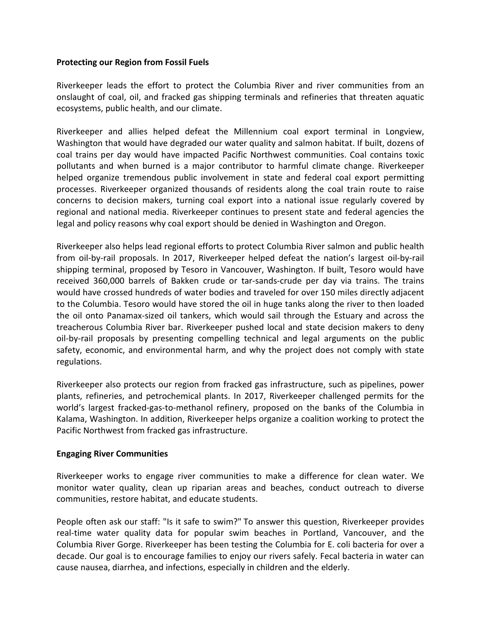# **Protecting our Region from Fossil Fuels**

Riverkeeper leads the effort to protect the Columbia River and river communities from an onslaught of coal, oil, and fracked gas shipping terminals and refineries that threaten aquatic ecosystems, public health, and our climate.

Riverkeeper and allies helped defeat the Millennium coal export terminal in Longview, Washington that would have degraded our water quality and salmon habitat. If built, dozens of coal trains per day would have impacted Pacific Northwest communities. Coal contains toxic pollutants and when burned is a major contributor to harmful climate change. Riverkeeper helped organize tremendous public involvement in state and federal coal export permitting processes. Riverkeeper organized thousands of residents along the coal train route to raise concerns to decision makers, turning coal export into a national issue regularly covered by regional and national media. Riverkeeper continues to present state and federal agencies the legal and policy reasons why coal export should be denied in Washington and Oregon.

Riverkeeper also helps lead regional efforts to protect Columbia River salmon and public health from oil-by-rail proposals. In 2017, Riverkeeper helped defeat the nation's largest oil-by-rail shipping terminal, proposed by Tesoro in Vancouver, Washington. If built, Tesoro would have received 360,000 barrels of Bakken crude or tar-sands-crude per day via trains. The trains would have crossed hundreds of water bodies and traveled for over 150 miles directly adjacent to the Columbia. Tesoro would have stored the oil in huge tanks along the river to then loaded the oil onto Panamax-sized oil tankers, which would sail through the Estuary and across the treacherous Columbia River bar. Riverkeeper pushed local and state decision makers to deny oil-by-rail proposals by presenting compelling technical and legal arguments on the public safety, economic, and environmental harm, and why the project does not comply with state regulations.

Riverkeeper also protects our region from fracked gas infrastructure, such as pipelines, power plants, refineries, and petrochemical plants. In 2017, Riverkeeper challenged permits for the world's largest fracked-gas-to-methanol refinery, proposed on the banks of the Columbia in Kalama, Washington. In addition, Riverkeeper helps organize a coalition working to protect the Pacific Northwest from fracked gas infrastructure.

# **Engaging River Communities**

Riverkeeper works to engage river communities to make a difference for clean water. We monitor water quality, clean up riparian areas and beaches, conduct outreach to diverse communities, restore habitat, and educate students.

People often ask our staff: "Is it safe to swim?" To answer this question, Riverkeeper provides real-time water quality data for popular swim beaches in Portland, Vancouver, and the Columbia River Gorge. Riverkeeper has been testing the Columbia for E. coli bacteria for over a decade. Our goal is to encourage families to enjoy our rivers safely. Fecal bacteria in water can cause nausea, diarrhea, and infections, especially in children and the elderly.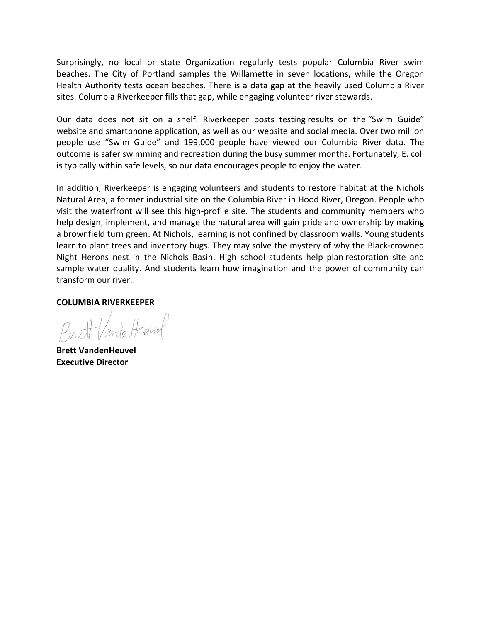Surprisingly, no local or state Organization regularly tests popular Columbia River swim beaches. The City of Portland samples the Willamette in seven locations, while the Oregon Health Authority tests ocean beaches. There is a data gap at the heavily used Columbia River sites. Columbia Riverkeeper fills that gap, while engaging volunteer river stewards.

Our data does not sit on a shelf. Riverkeeper posts testing results on the ["Swim Guide"](https://live-cori.pantheonsite.io/columbia/swimguide)  [website](https://live-cori.pantheonsite.io/columbia/swimguide) and smartphone application, as well as our website and social media. Over two million people use "Swim Guide" and 199,000 people have viewed our Columbia River data. The outcome is safer swimming and recreation during the busy summer months. Fortunately, E. coli is typically within safe levels, so our data encourages people to enjoy the water.

In addition, Riverkeeper is engaging volunteers and students to restore habitat at the Nichols Natural Area, a former industrial site on the Columbia River in Hood River, Oregon. People who visit the waterfront will see this high-profile site. The students and community members who help design, implement, and manage the natural area will gain pride and ownership by making a brownfield turn green. At Nichols, learning is not confined by classroom walls. Young students learn to plant trees and inventory bugs. They may solve the mystery of why the Black-crowned Night Herons nest in the Nichols Basin. High school students help plan restoration site and sample water quality. And students learn how imagination and the power of community can transform our river.

# **COLUMBIA RIVERKEEPER**

inde Hens

**Brett VandenHeuvel Executive Director**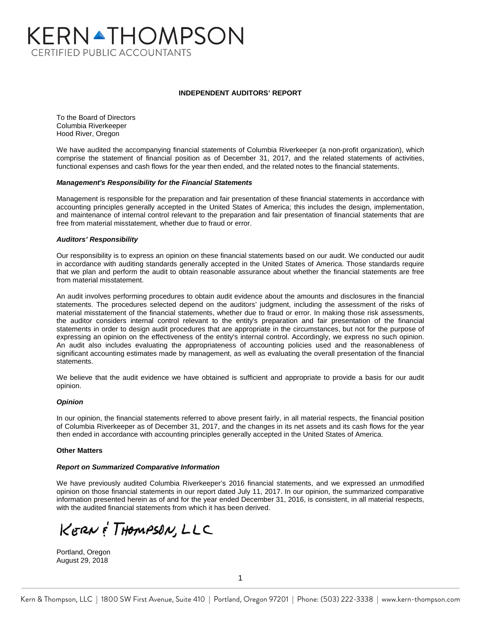# KERNATHOMPSON **CERTIFIED PUBLIC ACCOUNTANTS**

#### **INDEPENDENT AUDITORS' REPORT**

To the Board of Directors Columbia Riverkeeper Hood River, Oregon

We have audited the accompanying financial statements of Columbia Riverkeeper (a non-profit organization), which comprise the statement of financial position as of December 31, 2017, and the related statements of activities, functional expenses and cash flows for the year then ended, and the related notes to the financial statements.

#### *Management's Responsibility for the Financial Statements*

Management is responsible for the preparation and fair presentation of these financial statements in accordance with accounting principles generally accepted in the United States of America; this includes the design, implementation, and maintenance of internal control relevant to the preparation and fair presentation of financial statements that are free from material misstatement, whether due to fraud or error.

#### *Auditors' Responsibility*

Our responsibility is to express an opinion on these financial statements based on our audit. We conducted our audit in accordance with auditing standards generally accepted in the United States of America. Those standards require that we plan and perform the audit to obtain reasonable assurance about whether the financial statements are free from material misstatement.

An audit involves performing procedures to obtain audit evidence about the amounts and disclosures in the financial statements. The procedures selected depend on the auditors' judgment, including the assessment of the risks of material misstatement of the financial statements, whether due to fraud or error. In making those risk assessments, the auditor considers internal control relevant to the entity's preparation and fair presentation of the financial statements in order to design audit procedures that are appropriate in the circumstances, but not for the purpose of expressing an opinion on the effectiveness of the entity's internal control. Accordingly, we express no such opinion. An audit also includes evaluating the appropriateness of accounting policies used and the reasonableness of significant accounting estimates made by management, as well as evaluating the overall presentation of the financial statements.

We believe that the audit evidence we have obtained is sufficient and appropriate to provide a basis for our audit opinion.

#### *Opinion*

In our opinion, the financial statements referred to above present fairly, in all material respects, the financial position of Columbia Riverkeeper as of December 31, 2017, and the changes in its net assets and its cash flows for the year then ended in accordance with accounting principles generally accepted in the United States of America.

#### **Other Matters**

#### *Report on Summarized Comparative Information*

We have previously audited Columbia Riverkeeper's 2016 financial statements, and we expressed an unmodified opinion on those financial statements in our report dated July 11, 2017. In our opinion, the summarized comparative information presented herein as of and for the year ended December 31, 2016, is consistent, in all material respects, with the audited financial statements from which it has been derived.

KERN & THOMPSON, LLC

Portland, Oregon August 29, 2018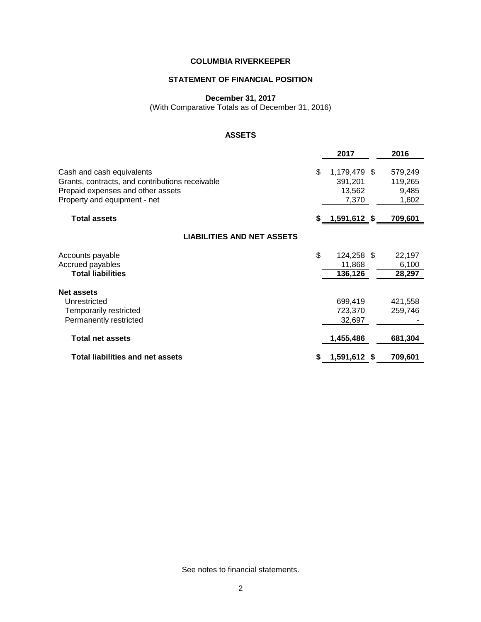# **STATEMENT OF FINANCIAL POSITION**

**December 31, 2017**

(With Comparative Totals as of December 31, 2016)

# **ASSETS**

|                                                 | 2017                      | 2016           |
|-------------------------------------------------|---------------------------|----------------|
| Cash and cash equivalents                       | \$<br>1,179,479 \$        | 579,249        |
| Grants, contracts, and contributions receivable | 391,201                   | 119,265        |
| Prepaid expenses and other assets               | 13,562                    | 9,485          |
| Property and equipment - net                    | 7,370                     | 1,602          |
| <b>Total assets</b>                             | \$ <u>__1,591,612</u> _\$ | <u>709,601</u> |
| <b>LIABILITIES AND NET ASSETS</b>               |                           |                |
| Accounts payable                                | \$<br>124,258 \$          | 22,197         |
| Accrued payables                                | 11,868                    | 6,100          |
| <b>Total liabilities</b>                        | 136,126                   | 28,297         |
| <b>Net assets</b>                               |                           |                |
| Unrestricted                                    | 699,419                   | 421,558        |
| Temporarily restricted                          | 723,370                   | 259,746        |
| Permanently restricted                          | 32,697                    |                |
| <b>Total net assets</b>                         | 1,455,486                 | 681,304        |
| <b>Total liabilities and net assets</b>         | 1,591,612 \$              | 709,601        |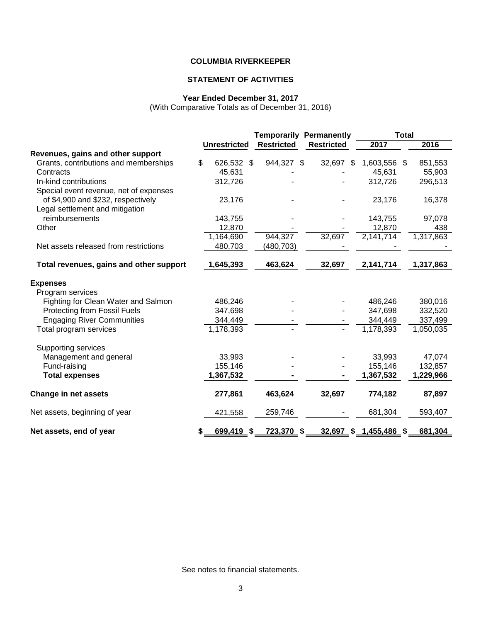# **STATEMENT OF ACTIVITIES**

#### **Year Ended December 31, 2017**

(With Comparative Totals as of December 31, 2016)

|                                         |                     | <b>Temporarily Permanently</b> |                   | <b>Total</b> |  |           |
|-----------------------------------------|---------------------|--------------------------------|-------------------|--------------|--|-----------|
|                                         | <b>Unrestricted</b> | <b>Restricted</b>              | <b>Restricted</b> | 2017         |  | 2016      |
| Revenues, gains and other support       |                     |                                |                   |              |  |           |
| Grants, contributions and memberships   | \$<br>626,532 \$    | 944,327 \$                     | 32,697 \$         | 1,603,556 \$ |  | 851,553   |
| Contracts                               | 45,631              |                                |                   | 45,631       |  | 55,903    |
| In-kind contributions                   | 312,726             |                                |                   | 312,726      |  | 296,513   |
| Special event revenue, net of expenses  |                     |                                |                   |              |  |           |
| of \$4,900 and \$232, respectively      | 23,176              |                                |                   | 23,176       |  | 16,378    |
| Legal settlement and mitigation         |                     |                                |                   |              |  |           |
| reimbursements                          | 143,755             |                                |                   | 143,755      |  | 97,078    |
| Other                                   | 12,870              |                                |                   | 12,870       |  | 438       |
|                                         | 1,164,690           | 944,327                        | 32,697            | 2,141,714    |  | 1,317,863 |
| Net assets released from restrictions   | 480,703             | (480,703)                      |                   |              |  |           |
| Total revenues, gains and other support | 1,645,393           | 463,624                        | 32,697            | 2,141,714    |  | 1,317,863 |
| <b>Expenses</b>                         |                     |                                |                   |              |  |           |
| Program services                        |                     |                                |                   |              |  |           |
| Fighting for Clean Water and Salmon     | 486,246             |                                |                   | 486,246      |  | 380,016   |
| <b>Protecting from Fossil Fuels</b>     | 347,698             |                                |                   | 347,698      |  | 332,520   |
| <b>Engaging River Communities</b>       | 344,449             |                                |                   | 344,449      |  | 337,499   |
| Total program services                  | 1,178,393           |                                |                   | 1,178,393    |  | 1,050,035 |
| Supporting services                     |                     |                                |                   |              |  |           |
| Management and general                  | 33,993              |                                |                   | 33,993       |  | 47,074    |
| Fund-raising                            | 155,146             |                                |                   | 155,146      |  | 132,857   |
| <b>Total expenses</b>                   | 1,367,532           |                                |                   | 1,367,532    |  | 1,229,966 |
| <b>Change in net assets</b>             | 277,861             | 463,624                        | 32,697            | 774,182      |  | 87,897    |
| Net assets, beginning of year           | 421,558             | 259,746                        |                   | 681,304      |  | 593,407   |
| Net assets, end of year                 | \$<br>699,419 \$    | 723,370 \$                     | 32,697 \$         | 1,455,486 \$ |  | 681,304   |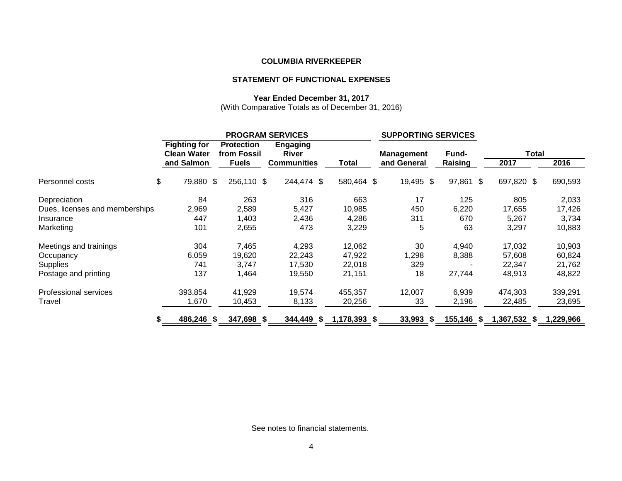# **STATEMENT OF FUNCTIONAL EXPENSES**

# **Year Ended December 31, 2017**

(With Comparative Totals as of December 31, 2016)

|                                |                                           | <b>PROGRAM SERVICES</b>          |                                 |              |             | <b>SUPPORTING SERVICES</b> |              |           |
|--------------------------------|-------------------------------------------|----------------------------------|---------------------------------|--------------|-------------|----------------------------|--------------|-----------|
|                                | <b>Fighting for</b><br><b>Clean Water</b> | <b>Protection</b><br>from Fossil | <b>Engaging</b><br><b>River</b> |              | Management  | Fund-                      | <b>Total</b> |           |
|                                | and Salmon                                | <b>Fuels</b>                     | <b>Communities</b>              | Total        | and General | Raising                    | 2017         | 2016      |
| Personnel costs                | \$<br>79,880 \$                           | 256,110 \$                       | 244,474 \$                      | 580,464 \$   | 19,495 \$   | 97,861 \$                  | 697,820 \$   | 690,593   |
| Depreciation                   | 84                                        | 263                              | 316                             | 663          | 17          | 125                        | 805          | 2,033     |
| Dues, licenses and memberships | 2,969                                     | 2,589                            | 5,427                           | 10,985       | 450         | 6,220                      | 17,655       | 17,426    |
| Insurance                      | 447                                       | 1,403                            | 2,436                           | 4,286        | 311         | 670                        | 5,267        | 3,734     |
| Marketing                      | 101                                       | 2,655                            | 473                             | 3,229        | 5           | 63                         | 3,297        | 10,883    |
| Meetings and trainings         | 304                                       | 7,465                            | 4,293                           | 12,062       | 30          | 4,940                      | 17,032       | 10,903    |
| Occupancy                      | 6,059                                     | 19,620                           | 22,243                          | 47,922       | 1,298       | 8,388                      | 57,608       | 60,824    |
| <b>Supplies</b>                | 741                                       | 3,747                            | 17,530                          | 22,018       | 329         |                            | 22,347       | 21,762    |
| Postage and printing           | 137                                       | 1,464                            | 19,550                          | 21,151       | 18          | 27,744                     | 48,913       | 48,822    |
| Professional services          | 393,854                                   | 41,929                           | 19,574                          | 455,357      | 12,007      | 6,939                      | 474,303      | 339,291   |
| Travel                         | 1,670                                     | 10,453                           | 8,133                           | 20,256       | 33          | 2,196                      | 22,485       | 23,695    |
|                                | \$<br>486,246 \$                          | 347,698 \$                       | 344,449 \$                      | 1,178,393 \$ | $33,993$ \$ | 155,146<br>\$              | 1,367,532 \$ | 1,229,966 |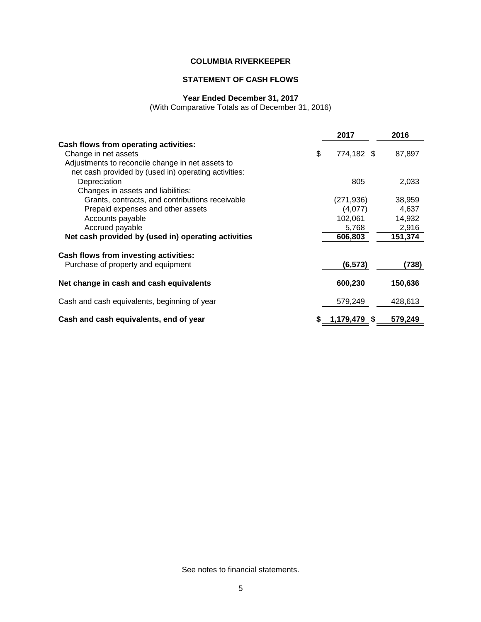# **STATEMENT OF CASH FLOWS**

## **Year Ended December 31, 2017**

(With Comparative Totals as of December 31, 2016)

|                                                      | 2017             | 2016    |
|------------------------------------------------------|------------------|---------|
| Cash flows from operating activities:                |                  |         |
| Change in net assets                                 | \$<br>774,182 \$ | 87,897  |
| Adjustments to reconcile change in net assets to     |                  |         |
| net cash provided by (used in) operating activities: |                  |         |
| Depreciation                                         | 805              | 2,033   |
| Changes in assets and liabilities:                   |                  |         |
| Grants, contracts, and contributions receivable      | (271, 936)       | 38,959  |
| Prepaid expenses and other assets                    | (4,077)          | 4,637   |
| Accounts payable                                     | 102,061          | 14,932  |
| Accrued payable                                      | 5,768            | 2,916   |
| Net cash provided by (used in) operating activities  | 606,803          | 151,374 |
| Cash flows from investing activities:                |                  |         |
| Purchase of property and equipment                   | (6, 573)         | (738)   |
| Net change in cash and cash equivalents              | 600,230          | 150,636 |
| Cash and cash equivalents, beginning of year         | 579,249          | 428,613 |
| Cash and cash equivalents, end of year               | 1,179,479 \$     | 579,249 |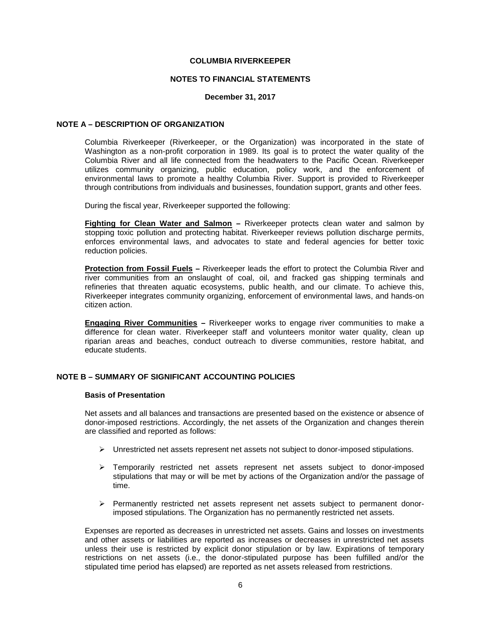#### **NOTES TO FINANCIAL STATEMENTS**

#### **December 31, 2017**

#### **NOTE A – DESCRIPTION OF ORGANIZATION**

Columbia Riverkeeper (Riverkeeper, or the Organization) was incorporated in the state of Washington as a non-profit corporation in 1989. Its goal is to protect the water quality of the Columbia River and all life connected from the headwaters to the Pacific Ocean. Riverkeeper utilizes community organizing, public education, policy work, and the enforcement of environmental laws to promote a healthy Columbia River. Support is provided to Riverkeeper through contributions from individuals and businesses, foundation support, grants and other fees.

During the fiscal year, Riverkeeper supported the following:

**Fighting for Clean Water and Salmon –** Riverkeeper protects clean water and salmon by stopping toxic pollution and protecting habitat. Riverkeeper reviews pollution discharge permits, enforces environmental laws, and advocates to state and federal agencies for better toxic reduction policies.

**Protection from Fossil Fuels –** Riverkeeper leads the effort to protect the Columbia River and river communities from an onslaught of coal, oil, and fracked gas shipping terminals and refineries that threaten aquatic ecosystems, public health, and our climate. To achieve this, Riverkeeper integrates community organizing, enforcement of environmental laws, and hands-on citizen action.

**Engaging River Communities –** Riverkeeper works to engage river communities to make a difference for clean water. Riverkeeper staff and volunteers monitor water quality, clean up riparian areas and beaches, conduct outreach to diverse communities, restore habitat, and educate students.

# **NOTE B – SUMMARY OF SIGNIFICANT ACCOUNTING POLICIES**

#### **Basis of Presentation**

Net assets and all balances and transactions are presented based on the existence or absence of donor-imposed restrictions. Accordingly, the net assets of the Organization and changes therein are classified and reported as follows:

- $\triangleright$  Unrestricted net assets represent net assets not subject to donor-imposed stipulations.
- $\triangleright$  Temporarily restricted net assets represent net assets subject to donor-imposed stipulations that may or will be met by actions of the Organization and/or the passage of time.
- Permanently restricted net assets represent net assets subject to permanent donorimposed stipulations. The Organization has no permanently restricted net assets.

Expenses are reported as decreases in unrestricted net assets. Gains and losses on investments and other assets or liabilities are reported as increases or decreases in unrestricted net assets unless their use is restricted by explicit donor stipulation or by law. Expirations of temporary restrictions on net assets (i.e., the donor-stipulated purpose has been fulfilled and/or the stipulated time period has elapsed) are reported as net assets released from restrictions.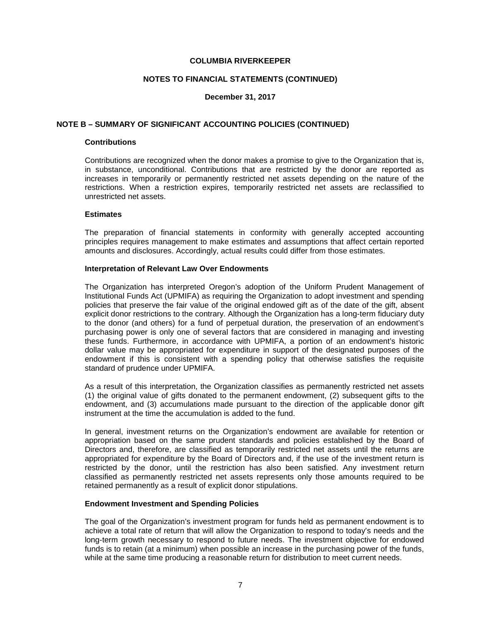#### **NOTES TO FINANCIAL STATEMENTS (CONTINUED)**

## **December 31, 2017**

#### **NOTE B – SUMMARY OF SIGNIFICANT ACCOUNTING POLICIES (CONTINUED)**

# **Contributions**

Contributions are recognized when the donor makes a promise to give to the Organization that is, in substance, unconditional. Contributions that are restricted by the donor are reported as increases in temporarily or permanently restricted net assets depending on the nature of the restrictions. When a restriction expires, temporarily restricted net assets are reclassified to unrestricted net assets.

#### **Estimates**

The preparation of financial statements in conformity with generally accepted accounting principles requires management to make estimates and assumptions that affect certain reported amounts and disclosures. Accordingly, actual results could differ from those estimates.

#### **Interpretation of Relevant Law Over Endowments**

The Organization has interpreted Oregon's adoption of the Uniform Prudent Management of Institutional Funds Act (UPMIFA) as requiring the Organization to adopt investment and spending policies that preserve the fair value of the original endowed gift as of the date of the gift, absent explicit donor restrictions to the contrary. Although the Organization has a long-term fiduciary duty to the donor (and others) for a fund of perpetual duration, the preservation of an endowment's purchasing power is only one of several factors that are considered in managing and investing these funds. Furthermore, in accordance with UPMIFA, a portion of an endowment's historic dollar value may be appropriated for expenditure in support of the designated purposes of the endowment if this is consistent with a spending policy that otherwise satisfies the requisite standard of prudence under UPMIFA.

As a result of this interpretation, the Organization classifies as permanently restricted net assets (1) the original value of gifts donated to the permanent endowment, (2) subsequent gifts to the endowment, and (3) accumulations made pursuant to the direction of the applicable donor gift instrument at the time the accumulation is added to the fund.

In general, investment returns on the Organization's endowment are available for retention or appropriation based on the same prudent standards and policies established by the Board of Directors and, therefore, are classified as temporarily restricted net assets until the returns are appropriated for expenditure by the Board of Directors and, if the use of the investment return is restricted by the donor, until the restriction has also been satisfied. Any investment return classified as permanently restricted net assets represents only those amounts required to be retained permanently as a result of explicit donor stipulations.

## **Endowment Investment and Spending Policies**

The goal of the Organization's investment program for funds held as permanent endowment is to achieve a total rate of return that will allow the Organization to respond to today's needs and the long-term growth necessary to respond to future needs. The investment objective for endowed funds is to retain (at a minimum) when possible an increase in the purchasing power of the funds, while at the same time producing a reasonable return for distribution to meet current needs.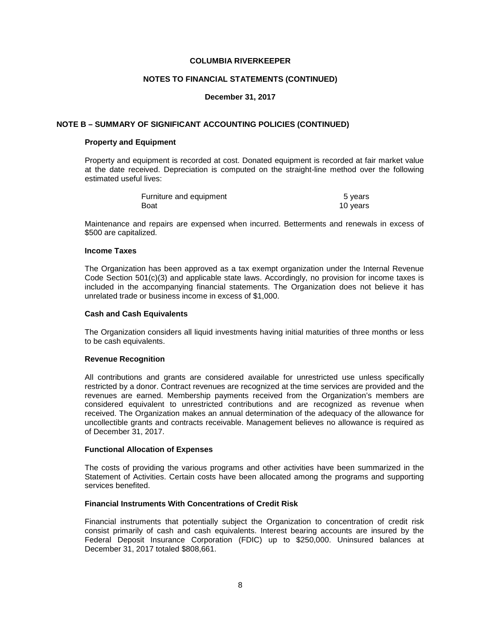#### **NOTES TO FINANCIAL STATEMENTS (CONTINUED)**

## **December 31, 2017**

## **NOTE B – SUMMARY OF SIGNIFICANT ACCOUNTING POLICIES (CONTINUED)**

#### **Property and Equipment**

Property and equipment is recorded at cost. Donated equipment is recorded at fair market value at the date received. Depreciation is computed on the straight-line method over the following estimated useful lives:

| Furniture and equipment | 5 years  |
|-------------------------|----------|
| Boat                    | 10 years |

Maintenance and repairs are expensed when incurred. Betterments and renewals in excess of \$500 are capitalized.

# **Income Taxes**

The Organization has been approved as a tax exempt organization under the Internal Revenue Code Section 501(c)(3) and applicable state laws. Accordingly, no provision for income taxes is included in the accompanying financial statements. The Organization does not believe it has unrelated trade or business income in excess of \$1,000.

#### **Cash and Cash Equivalents**

The Organization considers all liquid investments having initial maturities of three months or less to be cash equivalents.

#### **Revenue Recognition**

All contributions and grants are considered available for unrestricted use unless specifically restricted by a donor. Contract revenues are recognized at the time services are provided and the revenues are earned. Membership payments received from the Organization's members are considered equivalent to unrestricted contributions and are recognized as revenue when received. The Organization makes an annual determination of the adequacy of the allowance for uncollectible grants and contracts receivable. Management believes no allowance is required as of December 31, 2017.

#### **Functional Allocation of Expenses**

The costs of providing the various programs and other activities have been summarized in the Statement of Activities. Certain costs have been allocated among the programs and supporting services benefited.

## **Financial Instruments With Concentrations of Credit Risk**

Financial instruments that potentially subject the Organization to concentration of credit risk consist primarily of cash and cash equivalents. Interest bearing accounts are insured by the Federal Deposit Insurance Corporation (FDIC) up to \$250,000. Uninsured balances at December 31, 2017 totaled \$808,661.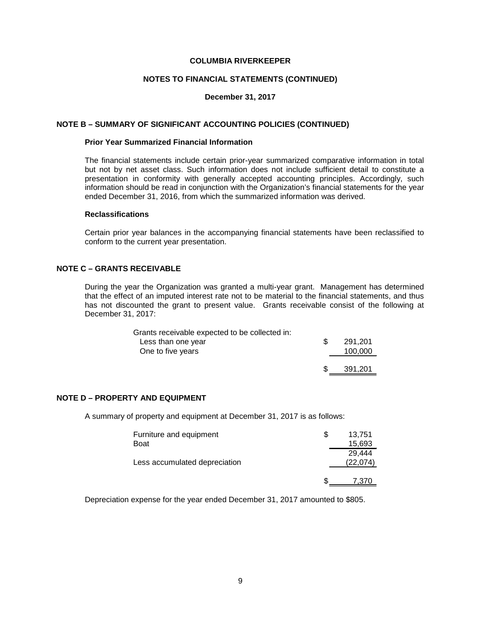#### **NOTES TO FINANCIAL STATEMENTS (CONTINUED)**

## **December 31, 2017**

#### **NOTE B – SUMMARY OF SIGNIFICANT ACCOUNTING POLICIES (CONTINUED)**

# **Prior Year Summarized Financial Information**

The financial statements include certain prior-year summarized comparative information in total but not by net asset class. Such information does not include sufficient detail to constitute a presentation in conformity with generally accepted accounting principles. Accordingly, such information should be read in conjunction with the Organization's financial statements for the year ended December 31, 2016, from which the summarized information was derived.

#### **Reclassifications**

Certain prior year balances in the accompanying financial statements have been reclassified to conform to the current year presentation.

# **NOTE C – GRANTS RECEIVABLE**

During the year the Organization was granted a multi-year grant. Management has determined that the effect of an imputed interest rate not to be material to the financial statements, and thus has not discounted the grant to present value. Grants receivable consist of the following at December 31, 2017:

| Grants receivable expected to be collected in: |         |
|------------------------------------------------|---------|
| Less than one year                             | 291.201 |
| One to five years                              | 100,000 |
|                                                |         |
|                                                | 391.201 |

# **NOTE D – PROPERTY AND EQUIPMENT**

A summary of property and equipment at December 31, 2017 is as follows:

| Furniture and equipment<br><b>Boat</b> | 13.751<br>15,693    |
|----------------------------------------|---------------------|
| Less accumulated depreciation          | 29.444<br>(22, 074) |
|                                        | 7.370               |

Depreciation expense for the year ended December 31, 2017 amounted to \$805.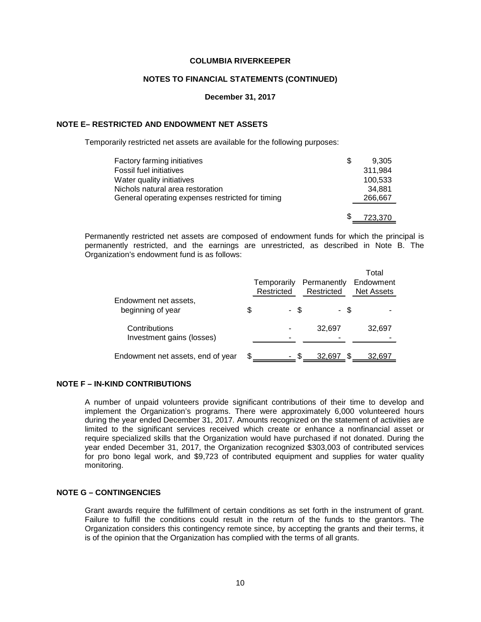#### **NOTES TO FINANCIAL STATEMENTS (CONTINUED)**

**December 31, 2017**

# **NOTE E– RESTRICTED AND ENDOWMENT NET ASSETS**

Temporarily restricted net assets are available for the following purposes:

| Factory farming initiatives                      | S | 9.305   |
|--------------------------------------------------|---|---------|
| Fossil fuel initiatives                          |   | 311.984 |
| Water quality initiatives                        |   | 100.533 |
| Nichols natural area restoration                 |   | 34.881  |
| General operating expenses restricted for timing |   | 266,667 |
|                                                  |   |         |
|                                                  | S | 723.370 |

Permanently restricted net assets are composed of endowment funds for which the principal is permanently restricted, and the earnings are unrestricted, as described in Note B. The Organization's endowment fund is as follows:

|                                            | Temporarily<br>Restricted | Permanently<br>Restricted | Total<br>Endowment<br><b>Net Assets</b> |
|--------------------------------------------|---------------------------|---------------------------|-----------------------------------------|
| Endowment net assets,<br>beginning of year | \$<br>- \$                | - \$                      |                                         |
| Contributions<br>Investment gains (losses) |                           | 32,697                    | 32,697                                  |
| Endowment net assets, end of year          |                           | 32.697                    | 32.697                                  |

## **NOTE F – IN-KIND CONTRIBUTIONS**

A number of unpaid volunteers provide significant contributions of their time to develop and implement the Organization's programs. There were approximately 6,000 volunteered hours during the year ended December 31, 2017. Amounts recognized on the statement of activities are limited to the significant services received which create or enhance a nonfinancial asset or require specialized skills that the Organization would have purchased if not donated. During the year ended December 31, 2017, the Organization recognized \$303,003 of contributed services for pro bono legal work, and \$9,723 of contributed equipment and supplies for water quality monitoring.

# **NOTE G – CONTINGENCIES**

Grant awards require the fulfillment of certain conditions as set forth in the instrument of grant. Failure to fulfill the conditions could result in the return of the funds to the grantors. The Organization considers this contingency remote since, by accepting the grants and their terms, it is of the opinion that the Organization has complied with the terms of all grants.